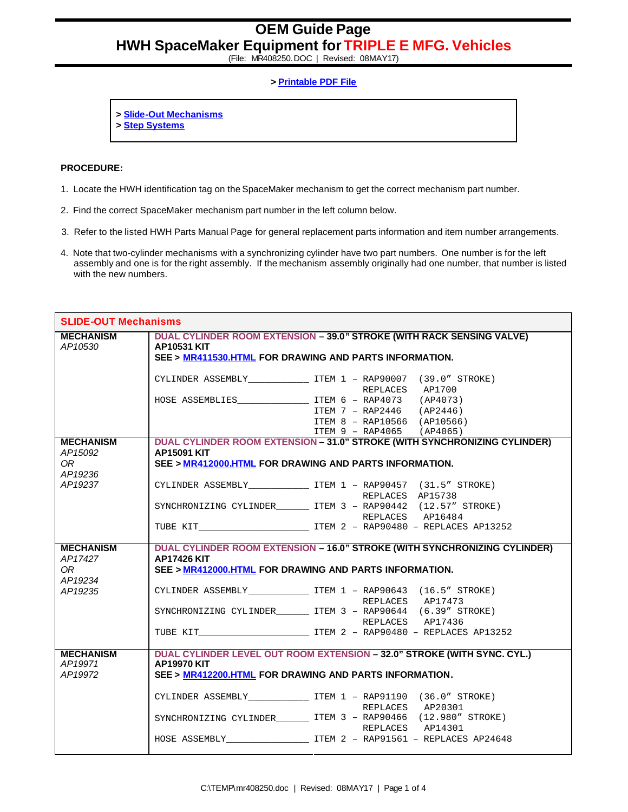(File: MR408250.DOC | Revised: 08MAY17)

## **> Printable PDF File**

- **> Slide-Out Mechanisms**
- **> Step Systems**

## **PROCEDURE:**

- 1. Locate the HWH identification tag on the SpaceMaker mechanism to get the correct mechanism part number.
- 2. Find the correct SpaceMaker mechanism part number in the left column below.
- 3. Refer to the listed HWH Parts Manual Page for general replacement parts information and item number arrangements.
- 4. Note that two-cylinder mechanisms with a synchronizing cylinder have two part numbers. One number is for the left assembly and one is for the right assembly. If the mechanism assembly originally had one number, that number is listed with the new numbers.

| <b>SLIDE-OUT Mechanisms</b> |                                                                                                                                                              |                                                                                       |  |
|-----------------------------|--------------------------------------------------------------------------------------------------------------------------------------------------------------|---------------------------------------------------------------------------------------|--|
| <b>MECHANISM</b><br>AP10530 | <b>DUAL CYLINDER ROOM EXTENSION - 39.0" STROKE (WITH RACK SENSING VALVE)</b><br><b>AP10531 KIT</b><br>SEE > MR411530.HTML FOR DRAWING AND PARTS INFORMATION. |                                                                                       |  |
|                             |                                                                                                                                                              |                                                                                       |  |
|                             |                                                                                                                                                              | CYLINDER ASSEMBLY________________ ITEM 1 - RAP90007 (39.0" STROKE)<br>REPLACES AP1700 |  |
|                             | HOSE ASSEMBLIES <b>ITEM 6 - RAP4073</b> (AP4073)                                                                                                             |                                                                                       |  |
|                             |                                                                                                                                                              | ITEM 7 - RAP2446 (AP2446)                                                             |  |
|                             |                                                                                                                                                              | ITEM 8 - RAP10566 (AP10566)                                                           |  |
|                             |                                                                                                                                                              | ITEM 9 - RAP4065 (AP4065)                                                             |  |
| <b>MECHANISM</b>            |                                                                                                                                                              | DUAL CYLINDER ROOM EXTENSION - 31.0" STROKE (WITH SYNCHRONIZING CYLINDER)             |  |
| AP15092                     | <b>AP15091 KIT</b>                                                                                                                                           |                                                                                       |  |
| 0R<br>AP19236               | SEE > MR412000.HTML FOR DRAWING AND PARTS INFORMATION.                                                                                                       |                                                                                       |  |
| AP19237                     |                                                                                                                                                              | CYLINDER ASSEMBLY _______________ ITEM 1 - RAP90457 (31.5" STROKE)                    |  |
|                             |                                                                                                                                                              | REPLACES AP15738                                                                      |  |
|                             |                                                                                                                                                              | SYNCHRONIZING CYLINDER ________ ITEM 3 - RAP90442 (12.57" STROKE)                     |  |
|                             |                                                                                                                                                              | REPLACES AP16484<br>TUBE KIT TEM 2 - RAP90480 - REPLACES AP13252                      |  |
|                             |                                                                                                                                                              |                                                                                       |  |
| <b>MECHANISM</b>            |                                                                                                                                                              | <b>DUAL CYLINDER ROOM EXTENSION - 16.0" STROKE (WITH SYNCHRONIZING CYLINDER)</b>      |  |
| AP17427                     | <b>AP17426 KIT</b>                                                                                                                                           |                                                                                       |  |
| OR.                         | SEE > MR412000.HTML FOR DRAWING AND PARTS INFORMATION.                                                                                                       |                                                                                       |  |
| AP19234                     |                                                                                                                                                              |                                                                                       |  |
| AP19235                     |                                                                                                                                                              | CYLINDER ASSEMBLY TTEM 1 - RAP90643 (16.5" STROKE)                                    |  |
|                             |                                                                                                                                                              | REPLACES AP17473                                                                      |  |
|                             |                                                                                                                                                              | SYNCHRONIZING CYLINDER TTEM 3 - RAP90644 (6.39" STROKE)<br>REPLACES AP17436           |  |
|                             |                                                                                                                                                              | TUBE KIT TEM 2 - RAP90480 - REPLACES AP13252                                          |  |
|                             |                                                                                                                                                              |                                                                                       |  |
| <b>MECHANISM</b><br>AP19971 | DUAL CYLINDER LEVEL OUT ROOM EXTENSION - 32.0" STROKE (WITH SYNC. CYL.)<br><b>AP19970 KIT</b>                                                                |                                                                                       |  |
| AP19972                     | SEE > MR412200.HTML FOR DRAWING AND PARTS INFORMATION.                                                                                                       |                                                                                       |  |
|                             |                                                                                                                                                              |                                                                                       |  |
|                             |                                                                                                                                                              | CYLINDER ASSEMBLY ______________ ITEM 1 - RAP91190 (36.0" STROKE)                     |  |
|                             |                                                                                                                                                              | REPLACES AP20301                                                                      |  |
|                             |                                                                                                                                                              | SYNCHRONIZING CYLINDER________ ITEM 3 - RAP90466 (12.980" STROKE)                     |  |
|                             |                                                                                                                                                              | REPLACES AP14301                                                                      |  |
|                             |                                                                                                                                                              | HOSE ASSEMBLY TEM 2 - RAP91561 - REPLACES AP24648                                     |  |
|                             |                                                                                                                                                              |                                                                                       |  |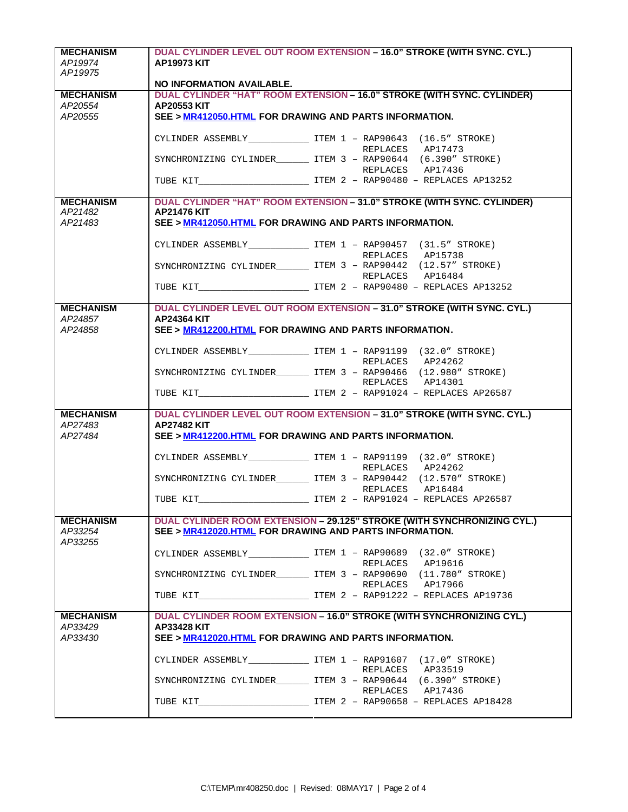| <b>MECHANISM</b> | DUAL CYLINDER LEVEL OUT ROOM EXTENSION - 16.0" STROKE (WITH SYNC. CYL.) |                                                                            |  |
|------------------|-------------------------------------------------------------------------|----------------------------------------------------------------------------|--|
| AP19974          | <b>AP19973 KIT</b>                                                      |                                                                            |  |
| AP19975          |                                                                         |                                                                            |  |
|                  | NO INFORMATION AVAILABLE.                                               |                                                                            |  |
| <b>MECHANISM</b> |                                                                         | DUAL CYLINDER "HAT" ROOM EXTENSION - 16.0" STROKE (WITH SYNC. CYLINDER)    |  |
| AP20554          | <b>AP20553 KIT</b>                                                      |                                                                            |  |
| AP20555          |                                                                         | SEE > MR412050.HTML FOR DRAWING AND PARTS INFORMATION.                     |  |
|                  |                                                                         |                                                                            |  |
|                  |                                                                         | CYLINDER ASSEMBLY _____________________ ITEM 1 - RAP90643 (16.5" STROKE)   |  |
|                  |                                                                         | REPLACES AP17473                                                           |  |
|                  |                                                                         | SYNCHRONIZING CYLINDER ITEM 3 - RAP90644 (6.390" STROKE)                   |  |
|                  |                                                                         | REPLACES AP17436                                                           |  |
|                  |                                                                         |                                                                            |  |
| <b>MECHANISM</b> |                                                                         | DUAL CYLINDER "HAT" ROOM EXTENSION - 31.0" STROKE (WITH SYNC. CYLINDER)    |  |
| AP21482          | <b>AP21476 KIT</b>                                                      |                                                                            |  |
| AP21483          |                                                                         | SEE > MR412050.HTML FOR DRAWING AND PARTS INFORMATION.                     |  |
|                  |                                                                         |                                                                            |  |
|                  |                                                                         | CYLINDER ASSEMBLY ________________ ITEM 1 - RAP90457 (31.5" STROKE)        |  |
|                  |                                                                         | REPLACES AP15738                                                           |  |
|                  |                                                                         | SYNCHRONIZING CYLINDER__________ ITEM 3 - RAP90442 (12.57" STROKE)         |  |
|                  |                                                                         | REPLACES AP16484                                                           |  |
|                  |                                                                         | TUBE KIT TEM 2 - RAP90480 - REPLACES AP13252                               |  |
| <b>MECHANISM</b> |                                                                         | DUAL CYLINDER LEVEL OUT ROOM EXTENSION - 31.0" STROKE (WITH SYNC. CYL.)    |  |
| AP24857          | <b>AP24364 KIT</b>                                                      |                                                                            |  |
| AP24858          |                                                                         | SEE > MR412200.HTML FOR DRAWING AND PARTS INFORMATION.                     |  |
|                  |                                                                         |                                                                            |  |
|                  |                                                                         | CYLINDER ASSEMBLY ____________________ ITEM 1 - RAP91199 (32.0" STROKE)    |  |
|                  |                                                                         | REPLACES AP24262                                                           |  |
|                  |                                                                         | SYNCHRONIZING CYLINDER_________ ITEM 3 - RAP90466 (12.980" STROKE)         |  |
|                  |                                                                         | REPLACES AP14301                                                           |  |
|                  |                                                                         | TUBE KIT TEM 2 - RAP91024 - REPLACES AP26587                               |  |
|                  |                                                                         |                                                                            |  |
| <b>MECHANISM</b> |                                                                         | DUAL CYLINDER LEVEL OUT ROOM EXTENSION - 31.0" STROKE (WITH SYNC. CYL.)    |  |
| AP27483          | <b>AP27482 KIT</b>                                                      |                                                                            |  |
| AP27484          |                                                                         | SEE > MR412200.HTML FOR DRAWING AND PARTS INFORMATION.                     |  |
|                  |                                                                         |                                                                            |  |
|                  |                                                                         | CYLINDER ASSEMBLY ______________________ ITEM 1 - RAP91199 (32.0" STROKE)  |  |
|                  |                                                                         | REPLACES AP24262                                                           |  |
|                  |                                                                         | SYNCHRONIZING CYLINDER________ ITEM 3 - RAP90442 (12.570" STROKE)          |  |
|                  |                                                                         | REPLACES AP16484                                                           |  |
|                  |                                                                         |                                                                            |  |
| <b>MECHANISM</b> |                                                                         | DUAL CYLINDER ROOM EXTENSION - 29.125" STROKE (WITH SYNCHRONIZING CYL.)    |  |
| AP33254          |                                                                         | SEE > MR412020.HTML FOR DRAWING AND PARTS INFORMATION.                     |  |
| AP33255          |                                                                         |                                                                            |  |
|                  |                                                                         | CYLINDER ASSEMBLY ________________ ITEM 1 - RAP90689 (32.0" STROKE)        |  |
|                  |                                                                         | REPLACES AP19616                                                           |  |
|                  |                                                                         | SYNCHRONIZING CYLINDER_________ ITEM 3 - RAP90690 (11.780" STROKE)         |  |
|                  |                                                                         | REPLACES AP17966                                                           |  |
|                  |                                                                         | TUBE KIT <b>ITEM 2 - RAP91222 - REPLACES AP19736</b>                       |  |
|                  |                                                                         |                                                                            |  |
| <b>MECHANISM</b> |                                                                         | DUAL CYLINDER ROOM EXTENSION - 16.0" STROKE (WITH SYNCHRONIZING CYL.)      |  |
| AP33429          | <b>AP33428 KIT</b>                                                      |                                                                            |  |
| AP33430          |                                                                         | SEE > MR412020.HTML FOR DRAWING AND PARTS INFORMATION.                     |  |
|                  |                                                                         |                                                                            |  |
|                  |                                                                         | CYLINDER ASSEMBLY _____________________ ITEM $1 -$ RAP91607 (17.0" STROKE) |  |
|                  |                                                                         | REPLACES AP33519                                                           |  |
|                  |                                                                         | SYNCHRONIZING CYLINDER_________ ITEM 3 - RAP90644 (6.390" STROKE)          |  |
|                  |                                                                         | REPLACES AP17436                                                           |  |
|                  |                                                                         |                                                                            |  |
|                  |                                                                         |                                                                            |  |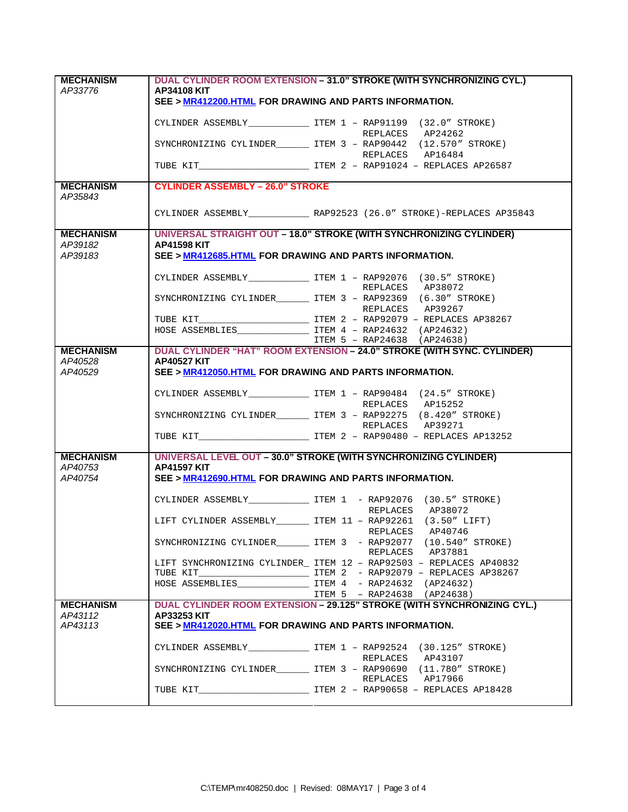| <b>MECHANISM</b>            | DUAL CYLINDER ROOM EXTENSION - 31.0" STROKE (WITH SYNCHRONIZING CYL.)        |                                                                                        |  |
|-----------------------------|------------------------------------------------------------------------------|----------------------------------------------------------------------------------------|--|
| AP33776                     | <b>AP34108 KIT</b>                                                           |                                                                                        |  |
|                             | SEE > MR412200.HTML FOR DRAWING AND PARTS INFORMATION.                       |                                                                                        |  |
|                             |                                                                              | CYLINDER ASSEMBLY ____________________ ITEM 1 - RAP91199 (32.0" STROKE)                |  |
|                             |                                                                              | REPLACES AP24262                                                                       |  |
|                             |                                                                              | SYNCHRONIZING CYLINDER________ ITEM 3 - RAP90442 (12.570" STROKE)                      |  |
|                             |                                                                              | REPLACES AP16484                                                                       |  |
|                             |                                                                              |                                                                                        |  |
|                             | <b>CYLINDER ASSEMBLY - 26.0" STROKE</b>                                      |                                                                                        |  |
| <b>MECHANISM</b><br>AP35843 |                                                                              |                                                                                        |  |
|                             |                                                                              | CYLINDER ASSEMBLY _______________ RAP92523 (26.0" STROKE)-REPLACES AP35843             |  |
|                             |                                                                              |                                                                                        |  |
| <b>MECHANISM</b>            |                                                                              | UNIVERSAL STRAIGHT OUT - 18.0" STROKE (WITH SYNCHRONIZING CYLINDER)                    |  |
| AP39182<br>AP39183          | <b>AP41598 KIT</b><br>SEE > MR412685.HTML FOR DRAWING AND PARTS INFORMATION. |                                                                                        |  |
|                             |                                                                              |                                                                                        |  |
|                             |                                                                              | CYLINDER ASSEMBLY _______________ ITEM 1 - RAP92076 (30.5" STROKE)                     |  |
|                             |                                                                              | REPLACES AP38072                                                                       |  |
|                             |                                                                              | SYNCHRONIZING CYLINDER ______ ITEM 3 - RAP92369 (6.30" STROKE)                         |  |
|                             |                                                                              | REPLACES AP39267                                                                       |  |
|                             |                                                                              |                                                                                        |  |
|                             |                                                                              |                                                                                        |  |
|                             |                                                                              | ITEM 5 - RAP24638 (AP24638)                                                            |  |
| <b>MECHANISM</b><br>AP40528 | <b>AP40527 KIT</b>                                                           | DUAL CYLINDER "HAT" ROOM EXTENSION - 24.0" STROKE (WITH SYNC. CYLINDER)                |  |
| AP40529                     | SEE > MR412050.HTML FOR DRAWING AND PARTS INFORMATION.                       |                                                                                        |  |
|                             |                                                                              |                                                                                        |  |
|                             |                                                                              | CYLINDER ASSEMBLY _____________________ ITEM 1 - RAP90484 (24.5" STROKE)               |  |
|                             |                                                                              | REPLACES AP15252                                                                       |  |
|                             |                                                                              | SYNCHRONIZING CYLINDER__________ ITEM 3 - RAP92275 (8.420" STROKE)                     |  |
|                             |                                                                              | REPLACES AP39271                                                                       |  |
|                             |                                                                              |                                                                                        |  |
| <b>MECHANISM</b>            |                                                                              | UNIVERSAL LEVEL OUT - 30.0" STROKE (WITH SYNCHRONIZING CYLINDER)                       |  |
| AP40753                     | <b>AP41597 KIT</b>                                                           |                                                                                        |  |
| AP40754                     | SEE > MR412690.HTML FOR DRAWING AND PARTS INFORMATION.                       |                                                                                        |  |
|                             |                                                                              | CYLINDER ASSEMBLY _______________ ITEM 1 - RAP92076 (30.5" STROKE)                     |  |
|                             |                                                                              | REPLACES AP38072                                                                       |  |
|                             |                                                                              | LIFT CYLINDER ASSEMBLY_________ ITEM 11 - RAP92261 (3.50" LIFT)                        |  |
|                             |                                                                              | REPLACES AP40746                                                                       |  |
|                             |                                                                              | SYNCHRONIZING CYLINDER TTEM 3 - RAP92077 (10.540" STROKE)<br>REPLACES AP37881          |  |
|                             |                                                                              | LIFT SYNCHRONIZING CYLINDER_ ITEM 12 - RAP92503 - REPLACES AP40832                     |  |
|                             |                                                                              |                                                                                        |  |
|                             |                                                                              |                                                                                        |  |
|                             |                                                                              | ITEM 5 - RAP24638 (AP24638)                                                            |  |
| <b>MECHANISM</b>            |                                                                              | DUAL CYLINDER ROOM EXTENSION - 29.125" STROKE (WITH SYNCHRONIZING CYL.)                |  |
| AP43112<br>AP43113          | <b>AP33253 KIT</b><br>SEE > MR412020.HTML FOR DRAWING AND PARTS INFORMATION. |                                                                                        |  |
|                             |                                                                              | CYLINDER ASSEMBLY TEM 1 - RAP92524 (30.125" STROKE)                                    |  |
|                             |                                                                              | REPLACES AP43107<br>SYNCHRONIZING CYLINDER_________ ITEM 3 - RAP90690 (11.780" STROKE) |  |
|                             |                                                                              | REPLACES AP17966                                                                       |  |
|                             |                                                                              |                                                                                        |  |
|                             |                                                                              |                                                                                        |  |